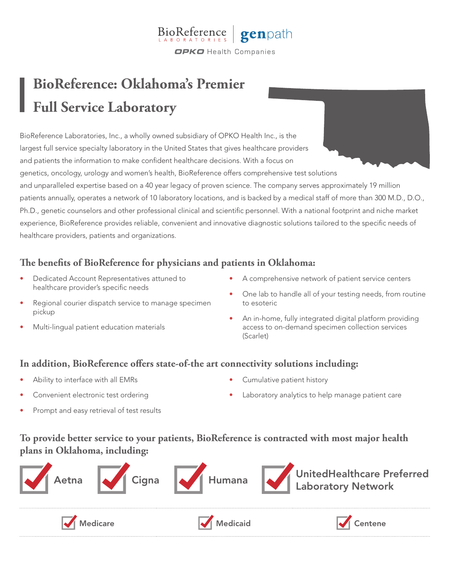

## **BioReference: Oklahoma's Premier Full Service Laboratory**

BioReference Laboratories, Inc., a wholly owned subsidiary of OPKO Health Inc., is the largest full service specialty laboratory in the United States that gives healthcare providers and patients the information to make confident healthcare decisions. With a focus on genetics, oncology, urology and women's health, BioReference offers comprehensive test solutions and unparalleled expertise based on a 40 year legacy of proven science. The company serves approximately 19 million patients annually, operates a network of 10 laboratory locations, and is backed by a medical staff of more than 300 M.D., D.O., Ph.D., genetic counselors and other professional clinical and scientific personnel. With a national footprint and niche market experience, BioReference provides reliable, convenient and innovative diagnostic solutions tailored to the specific needs of healthcare providers, patients and organizations.

## **The benefits of BioReference for physicians and patients in Oklahoma:**

- Dedicated Account Representatives attuned to healthcare provider's specific needs
- Regional courier dispatch service to manage specimen pickup
- Multi-lingual patient education materials
- A comprehensive network of patient service centers
- One lab to handle all of your testing needs, from routine to esoteric
- An in-home, fully integrated digital platform providing access to on-demand specimen collection services (Scarlet)

## **In addition, BioReference offers state-of-the art connectivity solutions including:**

- Ability to interface with all EMRs
- Convenient electronic test ordering
- Cumulative patient history
- Laboratory analytics to help manage patient care

• Prompt and easy retrieval of test results

**To provide better service to your patients, BioReference is contracted with most major health plans in Oklahoma, including:**